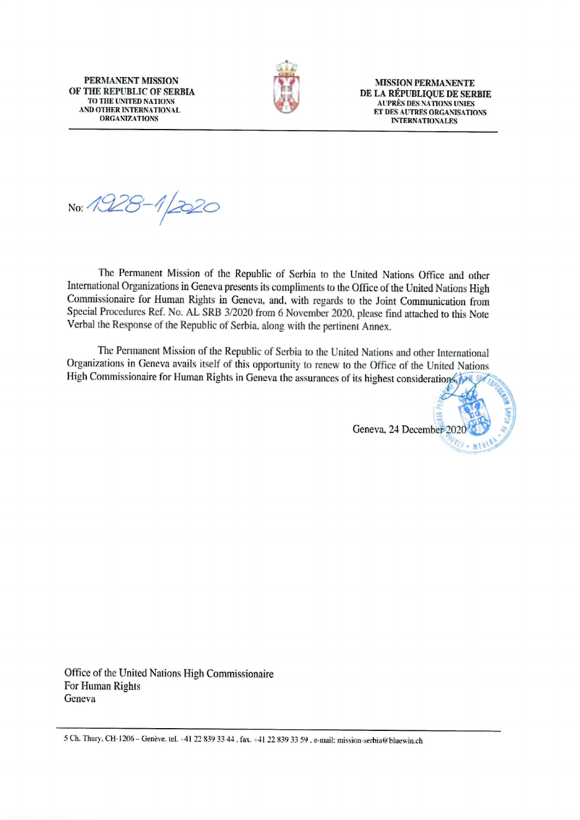

**MISSION PERMANENTE** DE LA RÉPUBLIQUE DE SERBIE **AUPRÈS DES NATIONS UNIES** ET DES AUTRES ORGANISATIONS **INTERNATIONALES** 

No: 1928-1/2020

The Permanent Mission of the Republic of Serbia to the United Nations Office and other International Organizations in Geneva presents its compliments to the Office of the United Nations High Commissionaire for Human Rights in Geneva, and, with regards to the Joint Communication from Special Procedures Ref. No. AL SRB 3/2020 from 6 November 2020, please find attached to this Note Verbal the Response of the Republic of Serbia, along with the pertinent Annex.

The Permanent Mission of the Republic of Serbia to the United Nations and other International Organizations in Geneva avails itself of this opportunity to renew to the Office of the United Nations High Commissionaire for Human Rights in Geneva the assurances of its highest considerations,

Geneva, 24 December 202

Office of the United Nations High Commissionaire For Human Rights Geneva

5 Ch. Thury, CH-1206 - Genève. tel. +41 22 839 33 44, fax. +41 22 839 33 59, e-mail: mission-serbia@bluewin.ch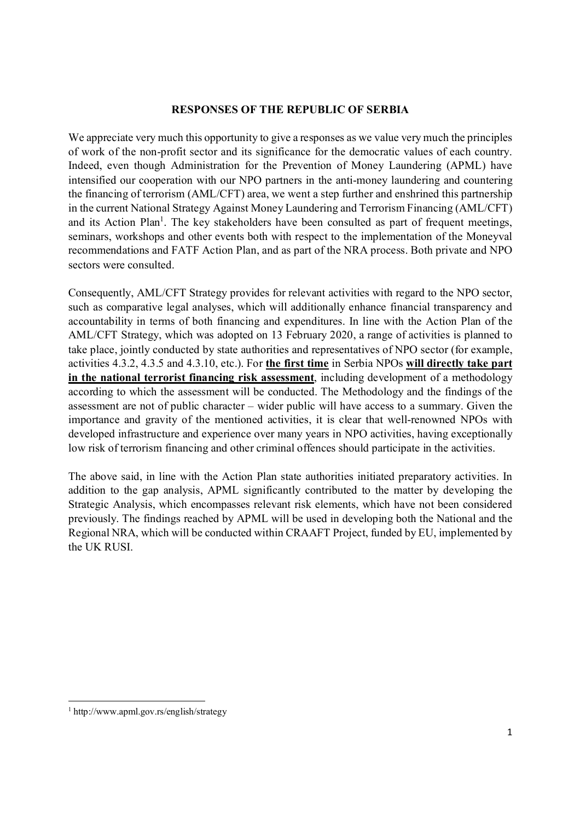#### **RESPONSES OF THE REPUBLIC OF SERBIA**

We appreciate very much this opportunity to give a responses as we value very much the principles of work of the non-profit sector and its significance for the democratic values of each country. Indeed, even though Administration for the Prevention of Money Laundering (APML) have intensified our cooperation with our NPO partners in the anti-money laundering and countering the financing of terrorism (AML/CFT) area, we went a step further and enshrined this partnership in the current National Strategy Against Money Laundering and Terrorism Financing (AML/CFT) and its Action Plan<sup>1</sup>. The key stakeholders have been consulted as part of frequent meetings, seminars, workshops and other events both with respect to the implementation of the Moneyval recommendations and FATF Action Plan, and as part of the NRA process. Both private and NPO sectors were consulted.

Consequently, AML/CFT Strategy provides for relevant activities with regard to the NPO sector, such as comparative legal analyses, which will additionally enhance financial transparency and accountability in terms of both financing and expenditures. In line with the Action Plan of the AML/CFT Strategy, which was adopted on 13 February 2020, a range of activities is planned to take place, jointly conducted by state authorities and representatives of NPO sector (for example, activities 4.3.2, 4.3.5 and 4.3.10, etc.). For **the first time** in Serbia NPOs **will directly take part in the national terrorist financing risk assessment**, including development of a methodology according to which the assessment will be conducted. The Methodology and the findings of the assessment are not of public character – wider public will have access to a summary. Given the importance and gravity of the mentioned activities, it is clear that well-renowned NPOs with developed infrastructure and experience over many years in NPO activities, having exceptionally low risk of terrorism financing and other criminal offences should participate in the activities.

The above said, in line with the Action Plan state authorities initiated preparatory activities. In addition to the gap analysis, APML significantly contributed to the matter by developing the Strategic Analysis, which encompasses relevant risk elements, which have not been considered previously. The findings reached by APML will be used in developing both the National and the Regional NRA, which will be conducted within CRAAFT Project, funded by EU, implemented by the UK RUSI.

l,

<sup>1</sup> http://www.apml.gov.rs/english/strategy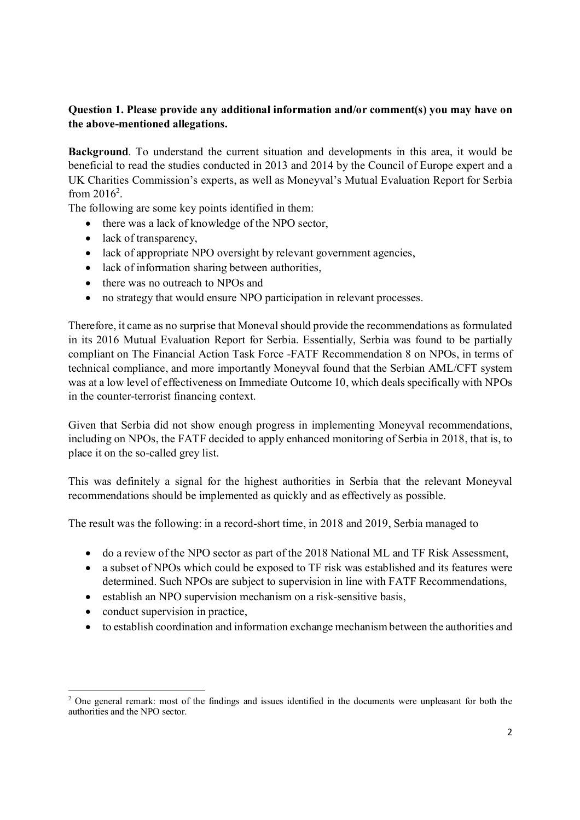### **Question 1. Please provide any additional information and/or comment(s) you may have on the above-mentioned allegations.**

**Background**. To understand the current situation and developments in this area, it would be beneficial to read the studies conducted in 2013 and 2014 by the Council of Europe expert and a UK Charities Commission's experts, as well as Moneyval's Mutual Evaluation Report for Serbia from  $2016^2$ .

The following are some key points identified in them:

- there was a lack of knowledge of the NPO sector,
- lack of transparency,
- lack of appropriate NPO oversight by relevant government agencies,
- lack of information sharing between authorities,
- there was no outreach to NPOs and
- no strategy that would ensure NPO participation in relevant processes.

Therefore, it came as no surprise that Moneval should provide the recommendations as formulated in its 2016 Mutual Evaluation Report for Serbia. Essentially, Serbia was found to be partially compliant on The Financial Action Task Force -FATF Recommendation 8 on NPOs, in terms of technical compliance, and more importantly Moneyval found that the Serbian AML/CFT system was at a low level of effectiveness on Immediate Outcome 10, which deals specifically with NPOs in the counter-terrorist financing context.

Given that Serbia did not show enough progress in implementing Moneyval recommendations, including on NPOs, the FATF decided to apply enhanced monitoring of Serbia in 2018, that is, to place it on the so-called grey list.

This was definitely a signal for the highest authorities in Serbia that the relevant Moneyval recommendations should be implemented as quickly and as effectively as possible.

The result was the following: in a record-short time, in 2018 and 2019, Serbia managed to

- do a review of the NPO sector as part of the 2018 National ML and TF Risk Assessment,
- a subset of NPOs which could be exposed to TF risk was established and its features were determined. Such NPOs are subject to supervision in line with FATF Recommendations,
- establish an NPO supervision mechanism on a risk-sensitive basis,
- conduct supervision in practice,

l,

to establish coordination and information exchange mechanism between the authorities and

 $2$  One general remark: most of the findings and issues identified in the documents were unpleasant for both the authorities and the NPO sector.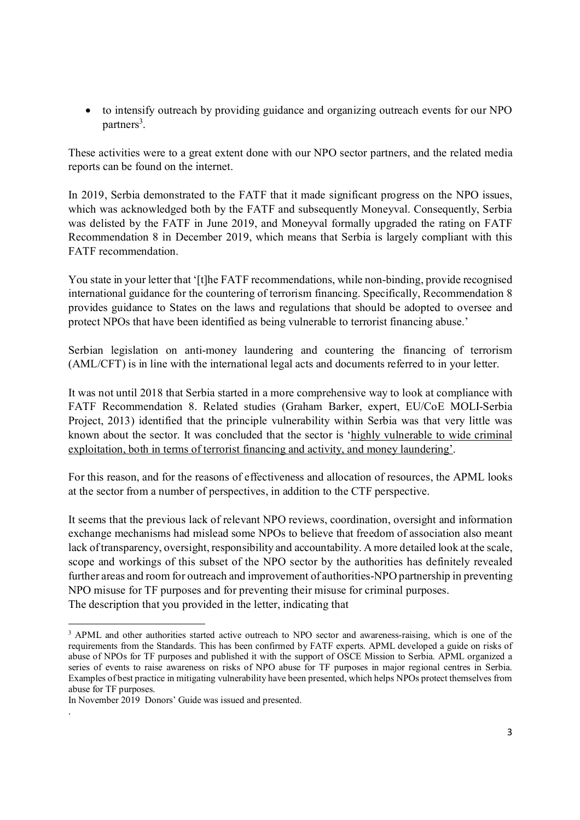• to intensify outreach by providing guidance and organizing outreach events for our NPO partners<sup>3</sup>.

These activities were to a great extent done with our NPO sector partners, and the related media reports can be found on the internet.

In 2019, Serbia demonstrated to the FATF that it made significant progress on the NPO issues, which was acknowledged both by the FATF and subsequently Moneyval. Consequently, Serbia was delisted by the FATF in June 2019, and Moneyval formally upgraded the rating on FATF Recommendation 8 in December 2019, which means that Serbia is largely compliant with this FATF recommendation.

You state in your letter that '[t]he FATF recommendations, while non-binding, provide recognised international guidance for the countering of terrorism financing. Specifically, Recommendation 8 provides guidance to States on the laws and regulations that should be adopted to oversee and protect NPOs that have been identified as being vulnerable to terrorist financing abuse.'

Serbian legislation on anti-money laundering and countering the financing of terrorism (AML/CFT) is in line with the international legal acts and documents referred to in your letter.

It was not until 2018 that Serbia started in a more comprehensive way to look at compliance with FATF Recommendation 8. Related studies (Graham Barker, expert, EU/CoE MOLI-Serbia Project, 2013) identified that the principle vulnerability within Serbia was that very little was known about the sector. It was concluded that the sector is 'highly vulnerable to wide criminal exploitation, both in terms of terrorist financing and activity, and money laundering'.

For this reason, and for the reasons of effectiveness and allocation of resources, the APML looks at the sector from a number of perspectives, in addition to the CTF perspective.

It seems that the previous lack of relevant NPO reviews, coordination, oversight and information exchange mechanisms had mislead some NPOs to believe that freedom of association also meant lack of transparency, oversight, responsibility and accountability. A more detailed look at the scale, scope and workings of this subset of the NPO sector by the authorities has definitely revealed further areas and room for outreach and improvement of authorities-NPO partnership in preventing NPO misuse for TF purposes and for preventing their misuse for criminal purposes. The description that you provided in the letter, indicating that

l,

<sup>&</sup>lt;sup>3</sup> APML and other authorities started active outreach to NPO sector and awareness-raising, which is one of the requirements from the Standards. This has been confirmed by FATF experts. APML developed a guide on risks of abuse of NPOs for TF purposes and published it with the support of OSCE Mission to Serbia. APML organized a series of events to raise awareness on risks of NPO abuse for TF purposes in major regional centres in Serbia. Examples of best practice in mitigating vulnerability have been presented, which helps NPOs protect themselves from abuse for TF purposes.

In November 2019 Donors' Guide was issued and presented. .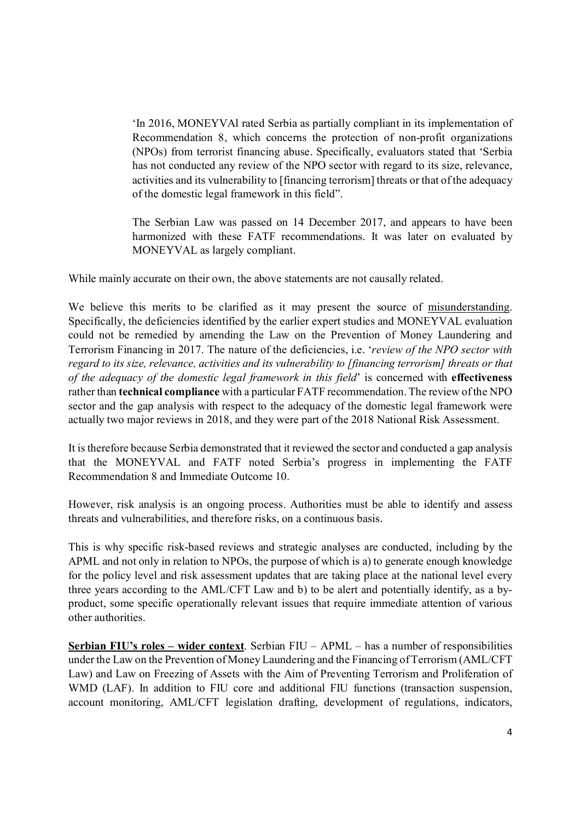'In 2016, MONEYVAl rated Serbia as partially compliant in its implementation of Recommendation 8, which concerns the protection of non-profit organizations (NPOs) from terrorist financing abuse. Specifically, evaluators stated that 'Serbia has not conducted any review of the NPO sector with regard to its size, relevance, activities and its vulnerability to [financing terrorism] threats or that of the adequacy of the domestic legal framework in this field".

The Serbian Law was passed on 14 December 2017, and appears to have been harmonized with these FATF recommendations. It was later on evaluated by MONEYVAL as largely compliant.

While mainly accurate on their own, the above statements are not causally related.

We believe this merits to be clarified as it may present the source of misunderstanding. Specifically, the deficiencies identified by the earlier expert studies and MONEYVAL evaluation could not be remedied by amending the Law on the Prevention of Money Laundering and Terrorism Financing in 2017. The nature of the deficiencies, i.e. '*review of the NPO sector with regard to its size, relevance, activities and its vulnerability to [financing terrorism] threats or that of the adequacy of the domestic legal framework in this field*' is concerned with **effectiveness** rather than **technical compliance** with a particular FATF recommendation. The review of the NPO sector and the gap analysis with respect to the adequacy of the domestic legal framework were actually two major reviews in 2018, and they were part of the 2018 National Risk Assessment.

It is therefore because Serbia demonstrated that it reviewed the sector and conducted a gap analysis that the MONEYVAL and FATF noted Serbia's progress in implementing the FATF Recommendation 8 and Immediate Outcome 10.

However, risk analysis is an ongoing process. Authorities must be able to identify and assess threats and vulnerabilities, and therefore risks, on a continuous basis.

This is why specific risk-based reviews and strategic analyses are conducted, including by the APML and not only in relation to NPOs, the purpose of which is a) to generate enough knowledge for the policy level and risk assessment updates that are taking place at the national level every three years according to the AML/CFT Law and b) to be alert and potentially identify, as a byproduct, some specific operationally relevant issues that require immediate attention of various other authorities.

**Serbian FIU's roles – wider context**. Serbian FIU – APML – has a number of responsibilities under the Law on the Prevention of Money Laundering and the Financing of Terrorism (AML/CFT Law) and Law on Freezing of Assets with the Aim of Preventing Terrorism and Proliferation of WMD (LAF). In addition to FIU core and additional FIU functions (transaction suspension, account monitoring, AML/CFT legislation drafting, development of regulations, indicators,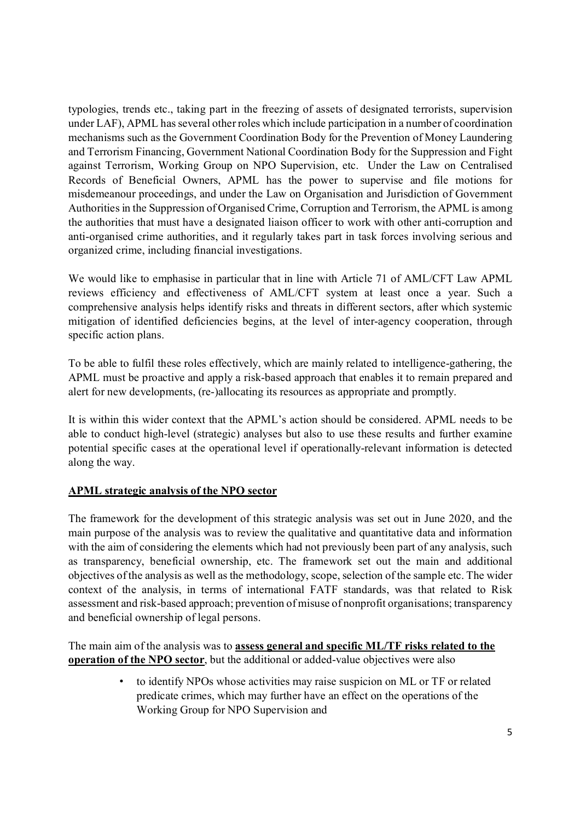typologies, trends etc., taking part in the freezing of assets of designated terrorists, supervision under LAF), APML has several other roles which include participation in a number of coordination mechanisms such as the Government Coordination Body for the Prevention of Money Laundering and Terrorism Financing, Government National Coordination Body for the Suppression and Fight against Terrorism, Working Group on NPO Supervision, etc. Under the Law on Centralised Records of Beneficial Owners, APML has the power to supervise and file motions for misdemeanour proceedings, and under the Law on Organisation and Jurisdiction of Government Authorities in the Suppression of Organised Crime, Corruption and Terrorism, the APML is among the authorities that must have a designated liaison officer to work with other anti-corruption and anti-organised crime authorities, and it regularly takes part in task forces involving serious and organized crime, including financial investigations.

We would like to emphasise in particular that in line with Article 71 of AML/CFT Law APML reviews efficiency and effectiveness of AML/CFT system at least once a year. Such a comprehensive analysis helps identify risks and threats in different sectors, after which systemic mitigation of identified deficiencies begins, at the level of inter-agency cooperation, through specific action plans.

To be able to fulfil these roles effectively, which are mainly related to intelligence-gathering, the APML must be proactive and apply a risk-based approach that enables it to remain prepared and alert for new developments, (re-)allocating its resources as appropriate and promptly.

It is within this wider context that the APML's action should be considered. APML needs to be able to conduct high-level (strategic) analyses but also to use these results and further examine potential specific cases at the operational level if operationally-relevant information is detected along the way.

#### **APML strategic analysis of the NPO sector**

The framework for the development of this strategic analysis was set out in June 2020, and the main purpose of the analysis was to review the qualitative and quantitative data and information with the aim of considering the elements which had not previously been part of any analysis, such as transparency, beneficial ownership, etc. The framework set out the main and additional objectives of the analysis as well as the methodology, scope, selection of the sample etc. The wider context of the analysis, in terms of international FATF standards, was that related to Risk assessment and risk-based approach; prevention of misuse of nonprofit organisations; transparency and beneficial ownership of legal persons.

The main aim of the analysis was to **assess general and specific ML/TF risks related to the operation of the NPO sector**, but the additional or added-value objectives were also

> • to identify NPOs whose activities may raise suspicion on ML or TF or related predicate crimes, which may further have an effect on the operations of the Working Group for NPO Supervision and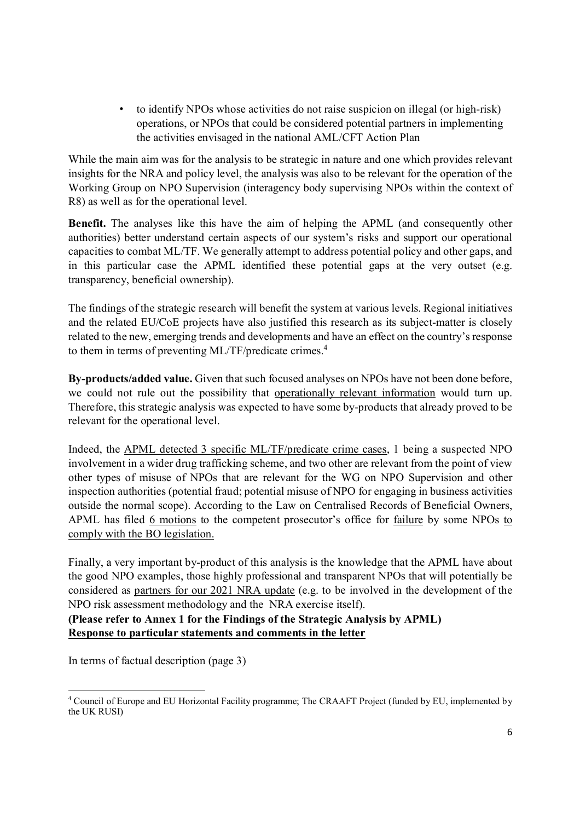• to identify NPOs whose activities do not raise suspicion on illegal (or high-risk) operations, or NPOs that could be considered potential partners in implementing the activities envisaged in the national AML/CFT Action Plan

While the main aim was for the analysis to be strategic in nature and one which provides relevant insights for the NRA and policy level, the analysis was also to be relevant for the operation of the Working Group on NPO Supervision (interagency body supervising NPOs within the context of R8) as well as for the operational level.

**Benefit.** The analyses like this have the aim of helping the APML (and consequently other authorities) better understand certain aspects of our system's risks and support our operational capacities to combat ML/TF. We generally attempt to address potential policy and other gaps, and in this particular case the APML identified these potential gaps at the very outset (e.g. transparency, beneficial ownership).

The findings of the strategic research will benefit the system at various levels. Regional initiatives and the related EU/CoE projects have also justified this research as its subject-matter is closely related to the new, emerging trends and developments and have an effect on the country's response to them in terms of preventing ML/TF/predicate crimes.<sup>4</sup>

**By-products/added value.** Given that such focused analyses on NPOs have not been done before, we could not rule out the possibility that operationally relevant information would turn up. Therefore, this strategic analysis was expected to have some by-products that already proved to be relevant for the operational level.

Indeed, the APML detected 3 specific ML/TF/predicate crime cases, 1 being a suspected NPO involvement in a wider drug trafficking scheme, and two other are relevant from the point of view other types of misuse of NPOs that are relevant for the WG on NPO Supervision and other inspection authorities (potential fraud; potential misuse of NPO for engaging in business activities outside the normal scope). According to the Law on Centralised Records of Beneficial Owners, APML has filed 6 motions to the competent prosecutor's office for failure by some NPOs to comply with the BO legislation.

Finally, a very important by-product of this analysis is the knowledge that the APML have about the good NPO examples, those highly professional and transparent NPOs that will potentially be considered as partners for our 2021 NRA update (e.g. to be involved in the development of the NPO risk assessment methodology and the NRA exercise itself).

**(Please refer to Annex 1 for the Findings of the Strategic Analysis by APML) Response to particular statements and comments in the letter** 

In terms of factual description (page 3)

l,

<sup>&</sup>lt;sup>4</sup> Council of Europe and EU Horizontal Facility programme; The CRAAFT Project (funded by EU, implemented by the UK RUSI)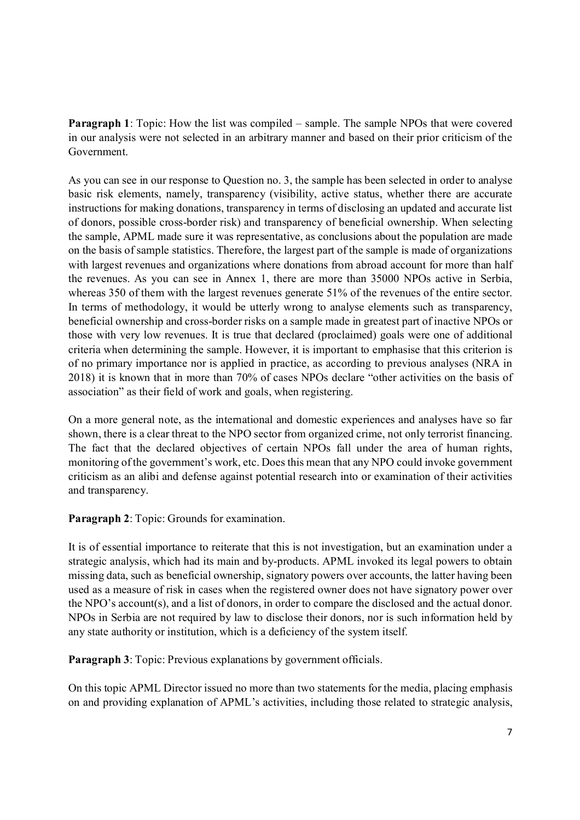**Paragraph 1**: Topic: How the list was compiled – sample. The sample NPOs that were covered in our analysis were not selected in an arbitrary manner and based on their prior criticism of the Government.

As you can see in our response to Question no. 3, the sample has been selected in order to analyse basic risk elements, namely, transparency (visibility, active status, whether there are accurate instructions for making donations, transparency in terms of disclosing an updated and accurate list of donors, possible cross-border risk) and transparency of beneficial ownership. When selecting the sample, APML made sure it was representative, as conclusions about the population are made on the basis of sample statistics. Therefore, the largest part of the sample is made of organizations with largest revenues and organizations where donations from abroad account for more than half the revenues. As you can see in Annex 1, there are more than 35000 NPOs active in Serbia, whereas 350 of them with the largest revenues generate 51% of the revenues of the entire sector. In terms of methodology, it would be utterly wrong to analyse elements such as transparency, beneficial ownership and cross-border risks on a sample made in greatest part of inactive NPOs or those with very low revenues. It is true that declared (proclaimed) goals were one of additional criteria when determining the sample. However, it is important to emphasise that this criterion is of no primary importance nor is applied in practice, as according to previous analyses (NRA in 2018) it is known that in more than 70% of cases NPOs declare "other activities on the basis of association" as their field of work and goals, when registering.

On a more general note, as the international and domestic experiences and analyses have so far shown, there is a clear threat to the NPO sector from organized crime, not only terrorist financing. The fact that the declared objectives of certain NPOs fall under the area of human rights, monitoring of the government's work, etc. Does this mean that any NPO could invoke government criticism as an alibi and defense against potential research into or examination of their activities and transparency.

**Paragraph 2**: Topic: Grounds for examination.

It is of essential importance to reiterate that this is not investigation, but an examination under a strategic analysis, which had its main and by-products. APML invoked its legal powers to obtain missing data, such as beneficial ownership, signatory powers over accounts, the latter having been used as a measure of risk in cases when the registered owner does not have signatory power over the NPO's account(s), and a list of donors, in order to compare the disclosed and the actual donor. NPOs in Serbia are not required by law to disclose their donors, nor is such information held by any state authority or institution, which is a deficiency of the system itself.

**Paragraph 3**: Topic: Previous explanations by government officials.

On this topic APML Director issued no more than two statements for the media, placing emphasis on and providing explanation of APML's activities, including those related to strategic analysis,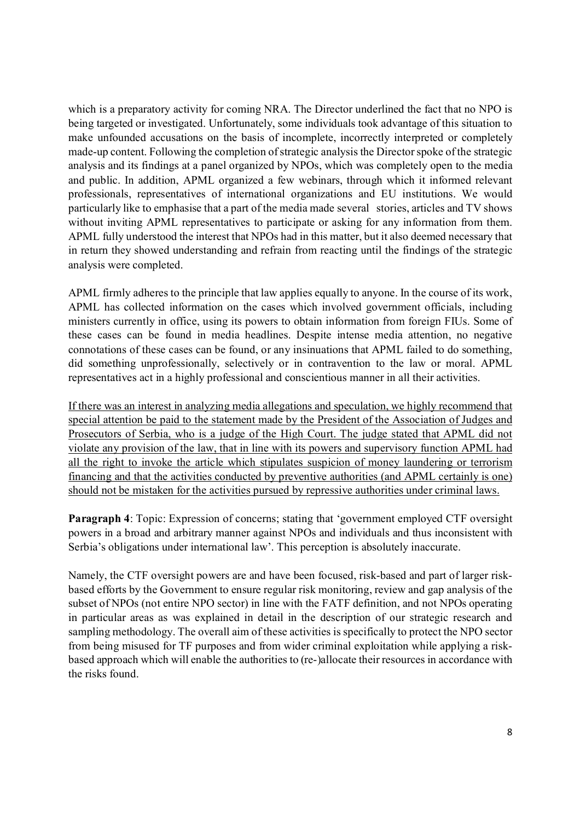which is a preparatory activity for coming NRA. The Director underlined the fact that no NPO is being targeted or investigated. Unfortunately, some individuals took advantage of this situation to make unfounded accusations on the basis of incomplete, incorrectly interpreted or completely made-up content. Following the completion of strategic analysis the Director spoke of the strategic analysis and its findings at a panel organized by NPOs, which was completely open to the media and public. In addition, APML organized a few webinars, through which it informed relevant professionals, representatives of international organizations and EU institutions. We would particularly like to emphasise that a part of the media made several stories, articles and TV shows without inviting APML representatives to participate or asking for any information from them. APML fully understood the interest that NPOs had in this matter, but it also deemed necessary that in return they showed understanding and refrain from reacting until the findings of the strategic analysis were completed.

APML firmly adheres to the principle that law applies equally to anyone. In the course of its work, APML has collected information on the cases which involved government officials, including ministers currently in office, using its powers to obtain information from foreign FIUs. Some of these cases can be found in media headlines. Despite intense media attention, no negative connotations of these cases can be found, or any insinuations that APML failed to do something, did something unprofessionally, selectively or in contravention to the law or moral. APML representatives act in a highly professional and conscientious manner in all their activities.

If there was an interest in analyzing media allegations and speculation, we highly recommend that special attention be paid to the statement made by the President of the Association of Judges and Prosecutors of Serbia, who is a judge of the High Court. The judge stated that APML did not violate any provision of the law, that in line with its powers and supervisory function APML had all the right to invoke the article which stipulates suspicion of money laundering or terrorism financing and that the activities conducted by preventive authorities (and APML certainly is one) should not be mistaken for the activities pursued by repressive authorities under criminal laws.

**Paragraph 4**: Topic: Expression of concerns; stating that 'government employed CTF oversight powers in a broad and arbitrary manner against NPOs and individuals and thus inconsistent with Serbia's obligations under international law'. This perception is absolutely inaccurate.

Namely, the CTF oversight powers are and have been focused, risk-based and part of larger riskbased efforts by the Government to ensure regular risk monitoring, review and gap analysis of the subset of NPOs (not entire NPO sector) in line with the FATF definition, and not NPOs operating in particular areas as was explained in detail in the description of our strategic research and sampling methodology. The overall aim of these activities is specifically to protect the NPO sector from being misused for TF purposes and from wider criminal exploitation while applying a riskbased approach which will enable the authorities to (re-)allocate their resources in accordance with the risks found.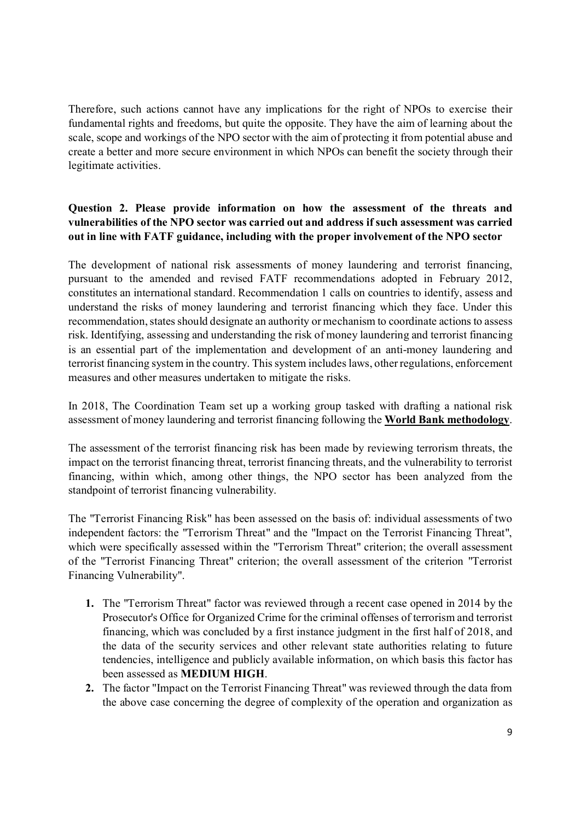Therefore, such actions cannot have any implications for the right of NPOs to exercise their fundamental rights and freedoms, but quite the opposite. They have the aim of learning about the scale, scope and workings of the NPO sector with the aim of protecting it from potential abuse and create a better and more secure environment in which NPOs can benefit the society through their legitimate activities.

# **Question 2. Please provide information on how the assessment of the threats and vulnerabilities of the NPO sector was carried out and address if such assessment was carried out in line with FATF guidance, including with the proper involvement of the NPO sector**

The development of national risk assessments of money laundering and terrorist financing, pursuant to the amended and revised FATF recommendations adopted in February 2012, constitutes an international standard. Recommendation 1 calls on countries to identify, assess and understand the risks of money laundering and terrorist financing which they face. Under this recommendation, states should designate an authority or mechanism to coordinate actions to assess risk. Identifying, assessing and understanding the risk of money laundering and terrorist financing is an essential part of the implementation and development of an anti-money laundering and terrorist financing system in the country. This system includes laws, other regulations, enforcement measures and other measures undertaken to mitigate the risks.

In 2018, The Coordination Team set up a working group tasked with drafting a national risk assessment of money laundering and terrorist financing following the **World Bank methodology**.

The assessment of the terrorist financing risk has been made by reviewing terrorism threats, the impact on the terrorist financing threat, terrorist financing threats, and the vulnerability to terrorist financing, within which, among other things, the NPO sector has been analyzed from the standpoint of terrorist financing vulnerability.

The "Terrorist Financing Risk" has been assessed on the basis of: individual assessments of two independent factors: the "Terrorism Threat" and the "Impact on the Terrorist Financing Threat", which were specifically assessed within the "Terrorism Threat" criterion; the overall assessment of the "Terrorist Financing Threat" criterion; the overall assessment of the criterion "Terrorist Financing Vulnerability".

- **1.** The "Terrorism Threat" factor was reviewed through a recent case opened in 2014 by the Prosecutor's Office for Organized Crime for the criminal offenses of terrorism and terrorist financing, which was concluded by a first instance judgment in the first half of 2018, and the data of the security services and other relevant state authorities relating to future tendencies, intelligence and publicly available information, on which basis this factor has been assessed as **MEDIUM HIGH**.
- **2.** The factor "Impact on the Terrorist Financing Threat" was reviewed through the data from the above case concerning the degree of complexity of the operation and organization as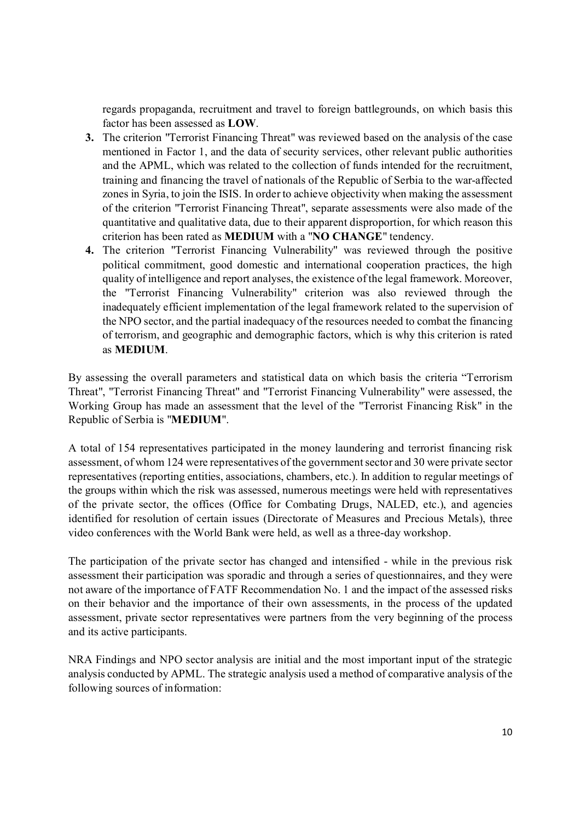regards propaganda, recruitment and travel to foreign battlegrounds, on which basis this factor has been assessed as **LOW**.

- **3.** The criterion "Terrorist Financing Threat" was reviewed based on the analysis of the case mentioned in Factor 1, and the data of security services, other relevant public authorities and the APML, which was related to the collection of funds intended for the recruitment, training and financing the travel of nationals of the Republic of Serbia to the war-affected zones in Syria, to join the ISIS. In order to achieve objectivity when making the assessment of the criterion "Terrorist Financing Threat", separate assessments were also made of the quantitative and qualitative data, due to their apparent disproportion, for which reason this criterion has been rated as **MEDIUM** with a "**NO CHANGE**" tendency.
- **4.** The criterion "Terrorist Financing Vulnerability" was reviewed through the positive political commitment, good domestic and international cooperation practices, the high quality of intelligence and report analyses, the existence of the legal framework. Moreover, the "Terrorist Financing Vulnerability" criterion was also reviewed through the inadequately efficient implementation of the legal framework related to the supervision of the NPO sector, and the partial inadequacy of the resources needed to combat the financing of terrorism, and geographic and demographic factors, which is why this criterion is rated as **MEDIUM**.

By assessing the overall parameters and statistical data on which basis the criteria "Terrorism Threat", "Terrorist Financing Threat" and "Terrorist Financing Vulnerability" were assessed, the Working Group has made an assessment that the level of the "Terrorist Financing Risk" in the Republic of Serbia is "**MEDIUM**".

A total of 154 representatives participated in the money laundering and terrorist financing risk assessment, of whom 124 were representatives of the government sector and 30 were private sector representatives (reporting entities, associations, chambers, etc.). In addition to regular meetings of the groups within which the risk was assessed, numerous meetings were held with representatives of the private sector, the offices (Office for Combating Drugs, NALED, etc.), and agencies identified for resolution of certain issues (Directorate of Measures and Precious Metals), three video conferences with the World Bank were held, as well as a three-day workshop.

The participation of the private sector has changed and intensified - while in the previous risk assessment their participation was sporadic and through a series of questionnaires, and they were not aware of the importance of FATF Recommendation No. 1 and the impact of the assessed risks on their behavior and the importance of their own assessments, in the process of the updated assessment, private sector representatives were partners from the very beginning of the process and its active participants.

NRA Findings and NPO sector analysis are initial and the most important input of the strategic analysis conducted by APML. The strategic analysis used a method of comparative analysis of the following sources of information: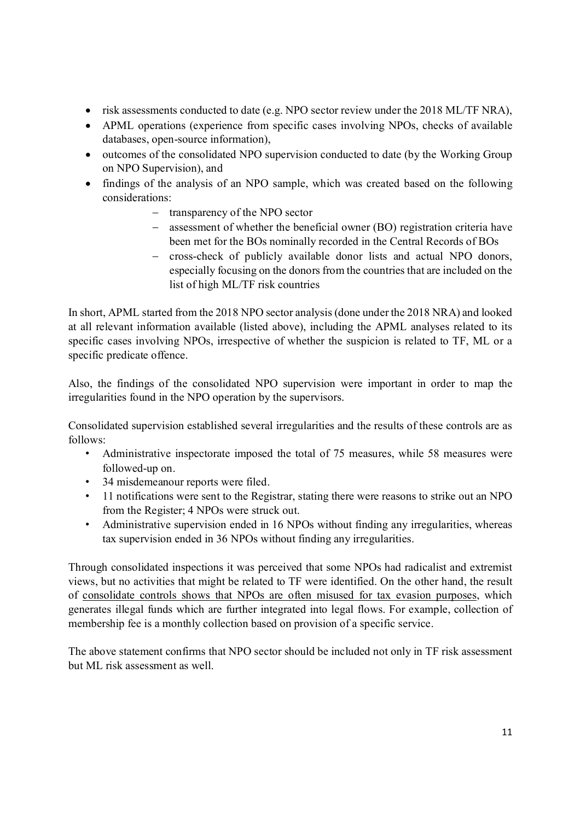- risk assessments conducted to date (e.g. NPO sector review under the 2018 ML/TF NRA),
- APML operations (experience from specific cases involving NPOs, checks of available databases, open-source information),
- outcomes of the consolidated NPO supervision conducted to date (by the Working Group on NPO Supervision), and
- findings of the analysis of an NPO sample, which was created based on the following considerations:
	- transparency of the NPO sector
	- assessment of whether the beneficial owner (BO) registration criteria have been met for the BOs nominally recorded in the Central Records of BOs
	- cross-check of publicly available donor lists and actual NPO donors, especially focusing on the donors from the countries that are included on the list of high ML/TF risk countries

In short, APML started from the 2018 NPO sector analysis (done under the 2018 NRA) and looked at all relevant information available (listed above), including the APML analyses related to its specific cases involving NPOs, irrespective of whether the suspicion is related to TF, ML or a specific predicate offence.

Also, the findings of the consolidated NPO supervision were important in order to map the irregularities found in the NPO operation by the supervisors.

Consolidated supervision established several irregularities and the results of these controls are as follows:

- Administrative inspectorate imposed the total of 75 measures, while 58 measures were followed-up on.
- 34 misdemeanour reports were filed.
- 11 notifications were sent to the Registrar, stating there were reasons to strike out an NPO from the Register; 4 NPOs were struck out.
- Administrative supervision ended in 16 NPOs without finding any irregularities, whereas tax supervision ended in 36 NPOs without finding any irregularities.

Through consolidated inspections it was perceived that some NPOs had radicalist and extremist views, but no activities that might be related to TF were identified. On the other hand, the result of consolidate controls shows that NPOs are often misused for tax evasion purposes, which generates illegal funds which are further integrated into legal flows. For example, collection of membership fee is a monthly collection based on provision of a specific service.

The above statement confirms that NPO sector should be included not only in TF risk assessment but ML risk assessment as well.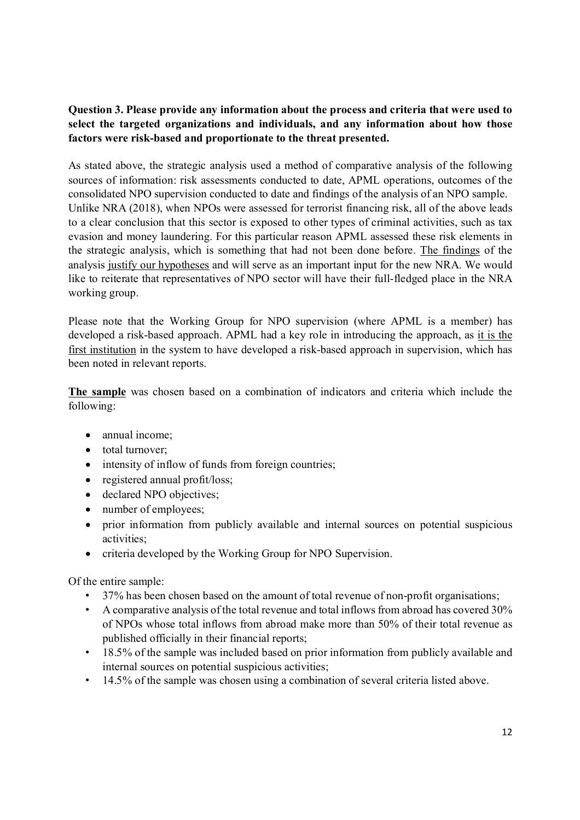# **Question 3. Please provide any information about the process and criteria that were used to select the targeted organizations and individuals, and any information about how those factors were risk-based and proportionate to the threat presented.**

As stated above, the strategic analysis used a method of comparative analysis of the following sources of information: risk assessments conducted to date, APML operations, outcomes of the consolidated NPO supervision conducted to date and findings of the analysis of an NPO sample. Unlike NRA (2018), when NPOs were assessed for terrorist financing risk, all of the above leads to a clear conclusion that this sector is exposed to other types of criminal activities, such as tax evasion and money laundering. For this particular reason APML assessed these risk elements in the strategic analysis, which is something that had not been done before. The findings of the analysis justify our hypotheses and will serve as an important input for the new NRA. We would like to reiterate that representatives of NPO sector will have their full-fledged place in the NRA working group.

Please note that the Working Group for NPO supervision (where APML is a member) has developed a risk-based approach. APML had a key role in introducing the approach, as it is the first institution in the system to have developed a risk-based approach in supervision, which has been noted in relevant reports.

**The sample** was chosen based on a combination of indicators and criteria which include the following:

- annual income:
- total turnover;
- intensity of inflow of funds from foreign countries;
- registered annual profit/loss;
- declared NPO objectives;
- number of employees;
- prior information from publicly available and internal sources on potential suspicious activities;
- criteria developed by the Working Group for NPO Supervision.

Of the entire sample:

- 37% has been chosen based on the amount of total revenue of non-profit organisations;
- A comparative analysis of the total revenue and total inflows from abroad has covered 30% of NPOs whose total inflows from abroad make more than 50% of their total revenue as published officially in their financial reports;
- 18.5% of the sample was included based on prior information from publicly available and internal sources on potential suspicious activities;
- 14.5% of the sample was chosen using a combination of several criteria listed above.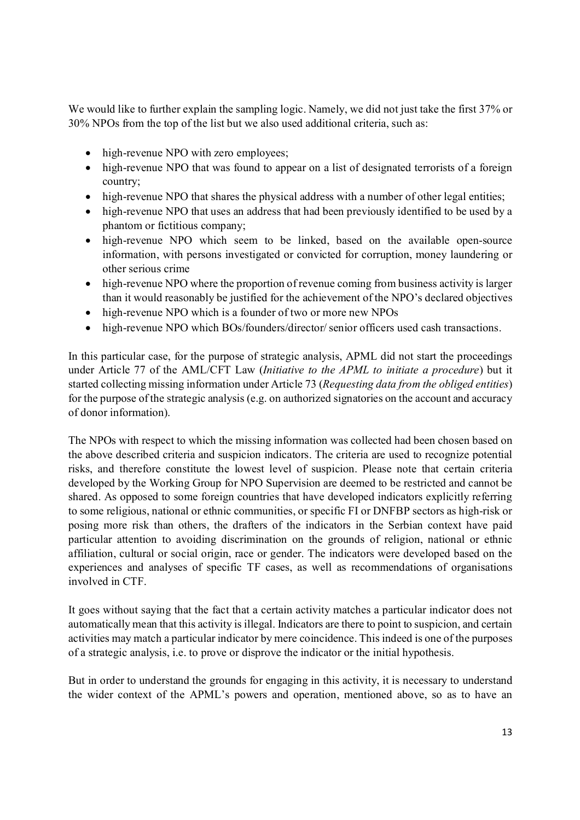We would like to further explain the sampling logic. Namely, we did not just take the first 37% or 30% NPOs from the top of the list but we also used additional criteria, such as:

- high-revenue NPO with zero employees;
- high-revenue NPO that was found to appear on a list of designated terrorists of a foreign country;
- high-revenue NPO that shares the physical address with a number of other legal entities;
- high-revenue NPO that uses an address that had been previously identified to be used by a phantom or fictitious company;
- high-revenue NPO which seem to be linked, based on the available open-source information, with persons investigated or convicted for corruption, money laundering or other serious crime
- high-revenue NPO where the proportion of revenue coming from business activity is larger than it would reasonably be justified for the achievement of the NPO's declared objectives
- high-revenue NPO which is a founder of two or more new NPOs
- high-revenue NPO which BOs/founders/director/ senior officers used cash transactions.

In this particular case, for the purpose of strategic analysis, APML did not start the proceedings under Article 77 of the AML/CFT Law (*Initiative to the APML to initiate a procedure*) but it started collecting missing information under Article 73 (*Requesting data from the obliged entities*) for the purpose of the strategic analysis (e.g. on authorized signatories on the account and accuracy of donor information).

The NPOs with respect to which the missing information was collected had been chosen based on the above described criteria and suspicion indicators. The criteria are used to recognize potential risks, and therefore constitute the lowest level of suspicion. Please note that certain criteria developed by the Working Group for NPO Supervision are deemed to be restricted and cannot be shared. As opposed to some foreign countries that have developed indicators explicitly referring to some religious, national or ethnic communities, or specific FI or DNFBP sectors as high-risk or posing more risk than others, the drafters of the indicators in the Serbian context have paid particular attention to avoiding discrimination on the grounds of religion, national or ethnic affiliation, cultural or social origin, race or gender. The indicators were developed based on the experiences and analyses of specific TF cases, as well as recommendations of organisations involved in CTF.

It goes without saying that the fact that a certain activity matches a particular indicator does not automatically mean that this activity is illegal. Indicators are there to point to suspicion, and certain activities may match a particular indicator by mere coincidence. This indeed is one of the purposes of a strategic analysis, i.e. to prove or disprove the indicator or the initial hypothesis.

But in order to understand the grounds for engaging in this activity, it is necessary to understand the wider context of the APML's powers and operation, mentioned above, so as to have an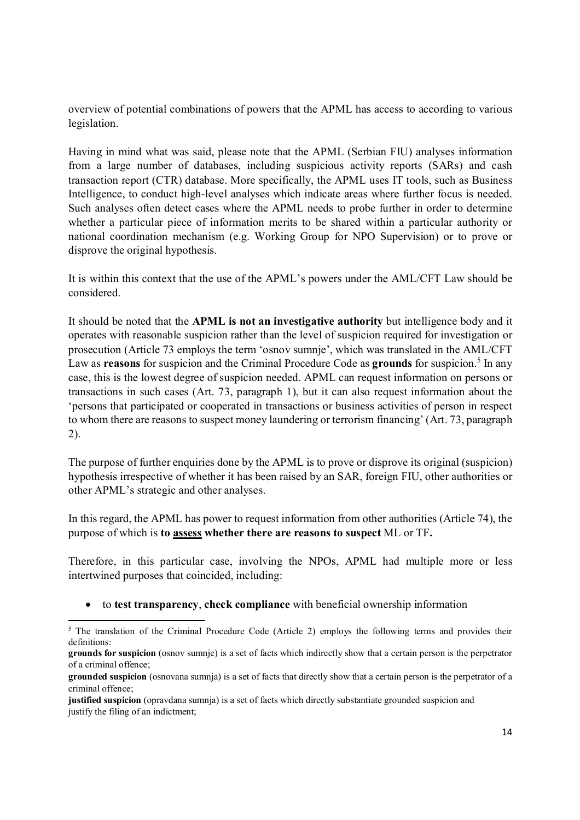overview of potential combinations of powers that the APML has access to according to various legislation.

Having in mind what was said, please note that the APML (Serbian FIU) analyses information from a large number of databases, including suspicious activity reports (SARs) and cash transaction report (CTR) database. More specifically, the APML uses IT tools, such as Business Intelligence, to conduct high-level analyses which indicate areas where further focus is needed. Such analyses often detect cases where the APML needs to probe further in order to determine whether a particular piece of information merits to be shared within a particular authority or national coordination mechanism (e.g. Working Group for NPO Supervision) or to prove or disprove the original hypothesis.

It is within this context that the use of the APML's powers under the AML/CFT Law should be considered.

It should be noted that the **APML is not an investigative authority** but intelligence body and it operates with reasonable suspicion rather than the level of suspicion required for investigation or prosecution (Article 73 employs the term 'osnov sumnje', which was translated in the AML/CFT Law as **reasons** for suspicion and the Criminal Procedure Code as grounds for suspicion.<sup>5</sup> In any case, this is the lowest degree of suspicion needed. APML can request information on persons or transactions in such cases (Art. 73, paragraph 1), but it can also request information about the 'persons that participated or cooperated in transactions or business activities of person in respect to whom there are reasons to suspect money laundering or terrorism financing' (Art. 73, paragraph 2).

The purpose of further enquiries done by the APML is to prove or disprove its original (suspicion) hypothesis irrespective of whether it has been raised by an SAR, foreign FIU, other authorities or other APML's strategic and other analyses.

In this regard, the APML has power to request information from other authorities (Article 74), the purpose of which is **to assess whether there are reasons to suspect** ML or TF**.** 

Therefore, in this particular case, involving the NPOs, APML had multiple more or less intertwined purposes that coincided, including:

to **test transparency**, **check compliance** with beneficial ownership information

l,

<sup>&</sup>lt;sup>5</sup> The translation of the Criminal Procedure Code (Article 2) employs the following terms and provides their definitions:

**grounds for suspicion** (osnov sumnje) is a set of facts which indirectly show that a certain person is the perpetrator of a criminal offence;

**grounded suspicion** (osnovana sumnja) is a set of facts that directly show that a certain person is the perpetrator of a criminal offence;

**justified suspicion** (opravdana sumnja) is a set of facts which directly substantiate grounded suspicion and justify the filing of an indictment;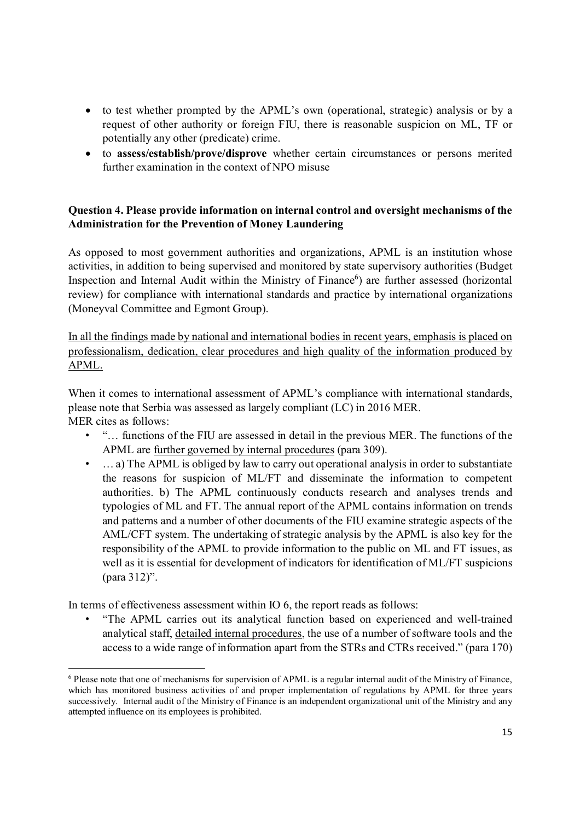- to test whether prompted by the APML's own (operational, strategic) analysis or by a request of other authority or foreign FIU, there is reasonable suspicion on ML, TF or potentially any other (predicate) crime.
- to **assess/establish/prove/disprove** whether certain circumstances or persons merited further examination in the context of NPO misuse

# **Question 4. Please provide information on internal control and oversight mechanisms of the Administration for the Prevention of Money Laundering**

As opposed to most government authorities and organizations, APML is an institution whose activities, in addition to being supervised and monitored by state supervisory authorities (Budget Inspection and Internal Audit within the Ministry of Finance<sup>6</sup>) are further assessed (horizontal review) for compliance with international standards and practice by international organizations (Moneyval Committee and Egmont Group).

In all the findings made by national and international bodies in recent years, emphasis is placed on professionalism, dedication, clear procedures and high quality of the information produced by APML.

When it comes to international assessment of APML's compliance with international standards, please note that Serbia was assessed as largely compliant (LC) in 2016 MER. MER cites as follows:

- "… functions of the FIU are assessed in detail in the previous MER. The functions of the APML are further governed by internal procedures (para 309).
- ... a) The APML is obliged by law to carry out operational analysis in order to substantiate the reasons for suspicion of ML/FT and disseminate the information to competent authorities. b) The APML continuously conducts research and analyses trends and typologies of ML and FT. The annual report of the APML contains information on trends and patterns and a number of other documents of the FIU examine strategic aspects of the AML/CFT system. The undertaking of strategic analysis by the APML is also key for the responsibility of the APML to provide information to the public on ML and FT issues, as well as it is essential for development of indicators for identification of ML/FT suspicions (para 312)".

In terms of effectiveness assessment within IO 6, the report reads as follows:

 $\overline{a}$ 

• "The APML carries out its analytical function based on experienced and well-trained analytical staff, detailed internal procedures, the use of a number of software tools and the access to a wide range of information apart from the STRs and CTRs received." (para 170)

<sup>&</sup>lt;sup>6</sup> Please note that one of mechanisms for supervision of APML is a regular internal audit of the Ministry of Finance, which has monitored business activities of and proper implementation of regulations by APML for three years successively. Internal audit of the Ministry of Finance is an independent organizational unit of the Ministry and any attempted influence on its employees is prohibited.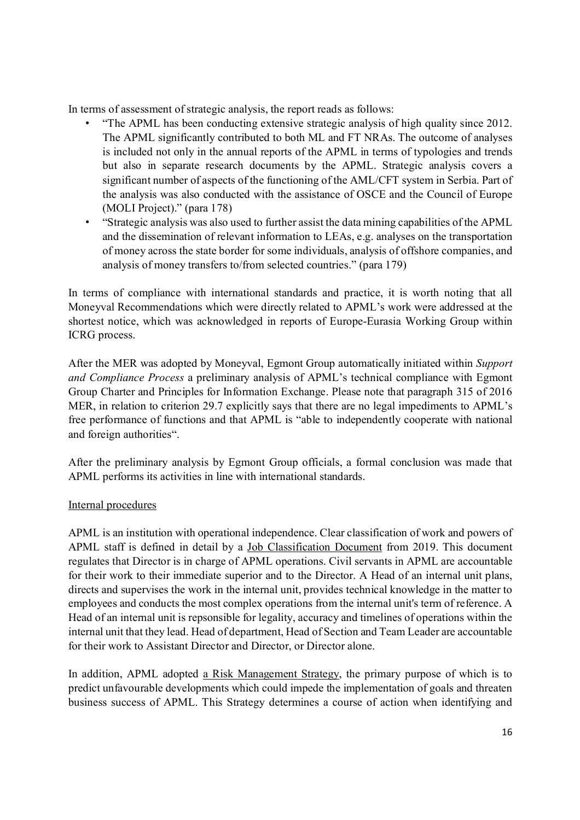In terms of assessment of strategic analysis, the report reads as follows:

- "The APML has been conducting extensive strategic analysis of high quality since 2012. The APML significantly contributed to both ML and FT NRAs. The outcome of analyses is included not only in the annual reports of the APML in terms of typologies and trends but also in separate research documents by the APML. Strategic analysis covers a significant number of aspects of the functioning of the AML/CFT system in Serbia. Part of the analysis was also conducted with the assistance of OSCE and the Council of Europe (MOLI Project)." (para 178)
- "Strategic analysis was also used to further assist the data mining capabilities of the APML and the dissemination of relevant information to LEAs, e.g. analyses on the transportation of money across the state border for some individuals, analysis of offshore companies, and analysis of money transfers to/from selected countries." (para 179)

In terms of compliance with international standards and practice, it is worth noting that all Moneyval Recommendations which were directly related to APML's work were addressed at the shortest notice, which was acknowledged in reports of Europe-Eurasia Working Group within ICRG process.

After the MER was adopted by Moneyval, Egmont Group automatically initiated within *Support and Compliance Process* a preliminary analysis of APML's technical compliance with Egmont Group Charter and Principles for Information Exchange. Please note that paragraph 315 of 2016 MER, in relation to criterion 29.7 explicitly says that there are no legal impediments to APML's free performance of functions and that APML is "able to independently cooperate with national and foreign authorities".

After the preliminary analysis by Egmont Group officials, a formal conclusion was made that APML performs its activities in line with international standards.

#### Internal procedures

APML is an institution with operational independence. Clear classification of work and powers of APML staff is defined in detail by a Job Classification Document from 2019. This document regulates that Director is in charge of APML operations. Civil servants in APML are accountable for their work to their immediate superior and to the Director. A Head of an internal unit plans, directs and supervises the work in the internal unit, provides technical knowledge in the matter to employees and conducts the most complex operations from the internal unit's term of reference. A Head of an internal unit is repsonsible for legality, accuracy and timelines of operations within the internal unit that they lead. Head of department, Head of Section and Team Leader are accountable for their work to Assistant Director and Director, or Director alone.

In addition, APML adopted a Risk Management Strategy, the primary purpose of which is to predict unfavourable developments which could impede the implementation of goals and threaten business success of APML. This Strategy determines a course of action when identifying and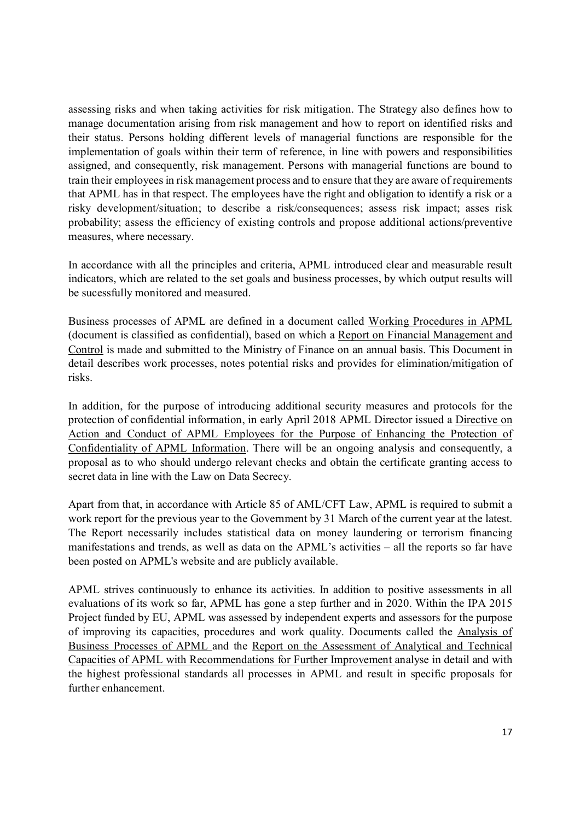assessing risks and when taking activities for risk mitigation. The Strategy also defines how to manage documentation arising from risk management and how to report on identified risks and their status. Persons holding different levels of managerial functions are responsible for the implementation of goals within their term of reference, in line with powers and responsibilities assigned, and consequently, risk management. Persons with managerial functions are bound to train their employees in risk management process and to ensure that they are aware of requirements that APML has in that respect. The employees have the right and obligation to identify a risk or a risky development/situation; to describe a risk/consequences; assess risk impact; asses risk probability; assess the efficiency of existing controls and propose additional actions/preventive measures, where necessary.

In accordance with all the principles and criteria, APML introduced clear and measurable result indicators, which are related to the set goals and business processes, by which output results will be sucessfully monitored and measured.

Business processes of APML are defined in a document called Working Procedures in APML (document is classified as confidential), based on which a Report on Financial Management and Control is made and submitted to the Ministry of Finance on an annual basis. This Document in detail describes work processes, notes potential risks and provides for elimination/mitigation of risks.

In addition, for the purpose of introducing additional security measures and protocols for the protection of confidential information, in early April 2018 APML Director issued a Directive on Action and Conduct of APML Employees for the Purpose of Enhancing the Protection of Confidentiality of APML Information. There will be an ongoing analysis and consequently, a proposal as to who should undergo relevant checks and obtain the certificate granting access to secret data in line with the Law on Data Secrecy.

Apart from that, in accordance with Article 85 of AML/CFT Law, APML is required to submit a work report for the previous year to the Government by 31 March of the current year at the latest. The Report necessarily includes statistical data on money laundering or terrorism financing manifestations and trends, as well as data on the APML's activities – all the reports so far have been posted on APML's website and are publicly available.

APML strives continuously to enhance its activities. In addition to positive assessments in all evaluations of its work so far, APML has gone a step further and in 2020. Within the IPA 2015 Project funded by EU, APML was assessed by independent experts and assessors for the purpose of improving its capacities, procedures and work quality. Documents called the Analysis of Business Processes of APML and the Report on the Assessment of Analytical and Technical Capacities of APML with Recommendations for Further Improvement analyse in detail and with the highest professional standards all processes in APML and result in specific proposals for further enhancement.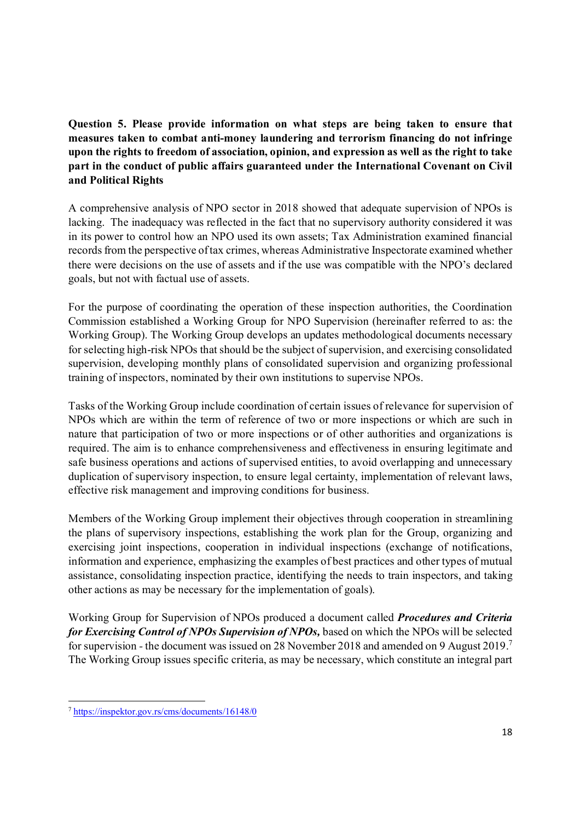**Question 5. Please provide information on what steps are being taken to ensure that measures taken to combat anti-money laundering and terrorism financing do not infringe upon the rights to freedom of association, opinion, and expression as well as the right to take part in the conduct of public affairs guaranteed under the International Covenant on Civil and Political Rights** 

A comprehensive analysis of NPO sector in 2018 showed that adequate supervision of NPOs is lacking. The inadequacy was reflected in the fact that no supervisory authority considered it was in its power to control how an NPO used its own assets; Tax Administration examined financial records from the perspective of tax crimes, whereas Administrative Inspectorate examined whether there were decisions on the use of assets and if the use was compatible with the NPO's declared goals, but not with factual use of assets.

For the purpose of coordinating the operation of these inspection authorities, the Coordination Commission established a Working Group for NPO Supervision (hereinafter referred to as: the Working Group). The Working Group develops an updates methodological documents necessary for selecting high-risk NPOs that should be the subject of supervision, and exercising consolidated supervision, developing monthly plans of consolidated supervision and organizing professional training of inspectors, nominated by their own institutions to supervise NPOs.

Tasks of the Working Group include coordination of certain issues of relevance for supervision of NPOs which are within the term of reference of two or more inspections or which are such in nature that participation of two or more inspections or of other authorities and organizations is required. The aim is to enhance comprehensiveness and effectiveness in ensuring legitimate and safe business operations and actions of supervised entities, to avoid overlapping and unnecessary duplication of supervisory inspection, to ensure legal certainty, implementation of relevant laws, effective risk management and improving conditions for business.

Members of the Working Group implement their objectives through cooperation in streamlining the plans of supervisory inspections, establishing the work plan for the Group, organizing and exercising joint inspections, cooperation in individual inspections (exchange of notifications, information and experience, emphasizing the examples of best practices and other types of mutual assistance, consolidating inspection practice, identifying the needs to train inspectors, and taking other actions as may be necessary for the implementation of goals).

Working Group for Supervision of NPOs produced a document called *Procedures and Criteria for Exercising Control of NPOs Supervision of NPOs,* based on which the NPOs will be selected for supervision *-* the document was issued on 28 November 2018 and amended on 9 August 2019.<sup>7</sup> The Working Group issues specific criteria, as may be necessary, which constitute an integral part

l,

<sup>7</sup> https://inspektor.gov.rs/cms/documents/16148/0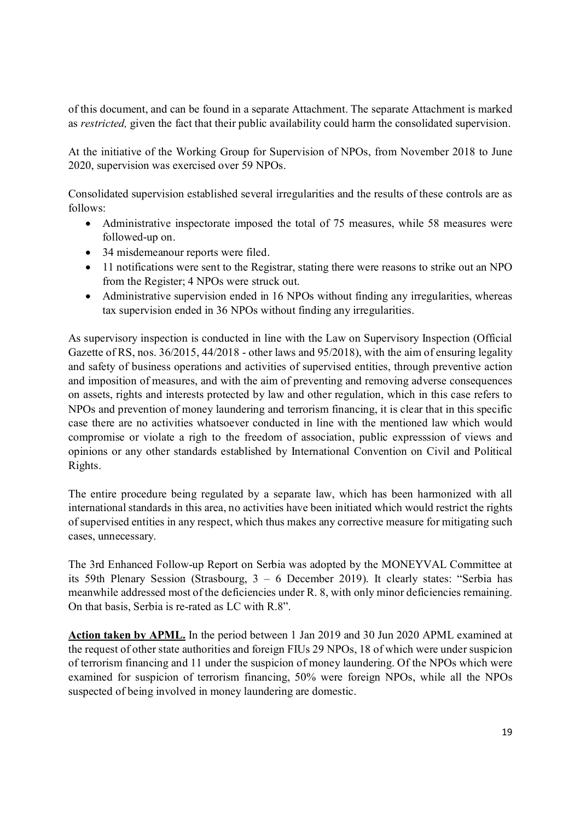of this document, and can be found in a separate Attachment. The separate Attachment is marked as *restricted,* given the fact that their public availability could harm the consolidated supervision.

At the initiative of the Working Group for Supervision of NPOs, from November 2018 to June 2020, supervision was exercised over 59 NPOs.

Consolidated supervision established several irregularities and the results of these controls are as follows:

- Administrative inspectorate imposed the total of 75 measures, while 58 measures were followed-up on.
- 34 misdemeanour reports were filed.
- 11 notifications were sent to the Registrar, stating there were reasons to strike out an NPO from the Register; 4 NPOs were struck out.
- Administrative supervision ended in 16 NPOs without finding any irregularities, whereas tax supervision ended in 36 NPOs without finding any irregularities.

As supervisory inspection is conducted in line with the Law on Supervisory Inspection (Official Gazette of RS, nos. 36/2015, 44/2018 - other laws and 95/2018), with the aim of ensuring legality and safety of business operations and activities of supervised entities, through preventive action and imposition of measures, and with the aim of preventing and removing adverse consequences on assets, rights and interests protected by law and other regulation, which in this case refers to NPOs and prevention of money laundering and terrorism financing, it is clear that in this specific case there are no activities whatsoever conducted in line with the mentioned law which would compromise or violate a righ to the freedom of association, public expresssion of views and opinions or any other standards established by International Convention on Civil and Political Rights.

The entire procedure being regulated by a separate law, which has been harmonized with all international standards in this area, no activities have been initiated which would restrict the rights of supervised entities in any respect, which thus makes any corrective measure for mitigating such cases, unnecessary.

The 3rd Enhanced Follow-up Report on Serbia was adopted by the MONEYVAL Committee at its 59th Plenary Session (Strasbourg, 3 – 6 December 2019). It clearly states: "Serbia has meanwhile addressed most of the deficiencies under R. 8, with only minor deficiencies remaining. On that basis, Serbia is re-rated as LC with R.8".

**Action taken by APML.** In the period between 1 Jan 2019 and 30 Jun 2020 APML examined at the request of other state authorities and foreign FIUs 29 NPOs, 18 of which were under suspicion of terrorism financing and 11 under the suspicion of money laundering. Of the NPOs which were examined for suspicion of terrorism financing, 50% were foreign NPOs, while all the NPOs suspected of being involved in money laundering are domestic.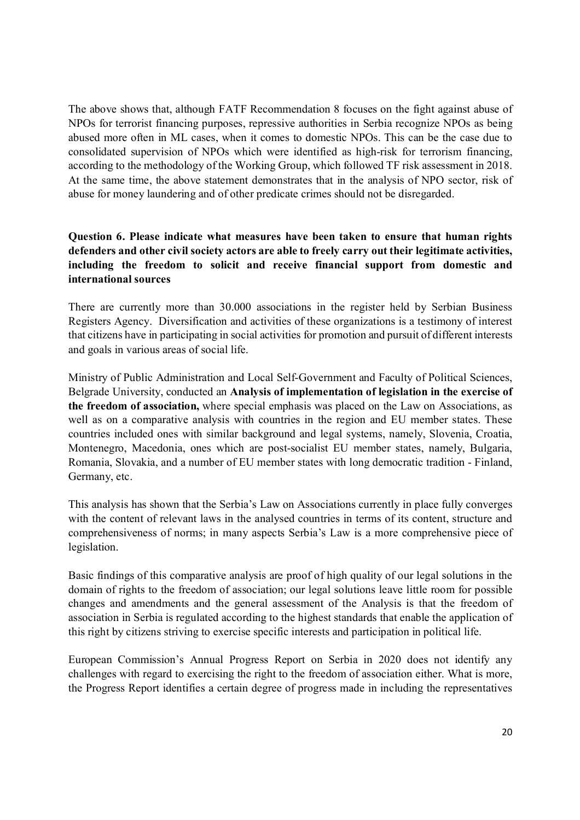The above shows that, although FATF Recommendation 8 focuses on the fight against abuse of NPOs for terrorist financing purposes, repressive authorities in Serbia recognize NPOs as being abused more often in ML cases, when it comes to domestic NPOs. This can be the case due to consolidated supervision of NPOs which were identified as high-risk for terrorism financing, according to the methodology of the Working Group, which followed TF risk assessment in 2018. At the same time, the above statement demonstrates that in the analysis of NPO sector, risk of abuse for money laundering and of other predicate crimes should not be disregarded.

# **Question 6. Please indicate what measures have been taken to ensure that human rights defenders and other civil society actors are able to freely carry out their legitimate activities, including the freedom to solicit and receive financial support from domestic and international sources**

There are currently more than 30.000 associations in the register held by Serbian Business Registers Agency. Diversification and activities of these organizations is a testimony of interest that citizens have in participating in social activities for promotion and pursuit of different interests and goals in various areas of social life.

Ministry of Public Administration and Local Self-Government and Faculty of Political Sciences, Belgrade University, conducted an **Analysis of implementation of legislation in the exercise of the freedom of association,** where special emphasis was placed on the Law on Associations, as well as on a comparative analysis with countries in the region and EU member states. These countries included ones with similar background and legal systems, namely, Slovenia, Croatia, Montenegro, Macedonia, ones which are post-socialist EU member states, namely, Bulgaria, Romania, Slovakia, and a number of EU member states with long democratic tradition - Finland, Germany, etc.

This analysis has shown that the Serbia's Law on Associations currently in place fully converges with the content of relevant laws in the analysed countries in terms of its content, structure and comprehensiveness of norms; in many aspects Serbia's Law is a more comprehensive piece of legislation.

Basic findings of this comparative analysis are proof of high quality of our legal solutions in the domain of rights to the freedom of association; our legal solutions leave little room for possible changes and amendments and the general assessment of the Analysis is that the freedom of association in Serbia is regulated according to the highest standards that enable the application of this right by citizens striving to exercise specific interests and participation in political life.

European Commission's Annual Progress Report on Serbia in 2020 does not identify any challenges with regard to exercising the right to the freedom of association either. What is more, the Progress Report identifies a certain degree of progress made in including the representatives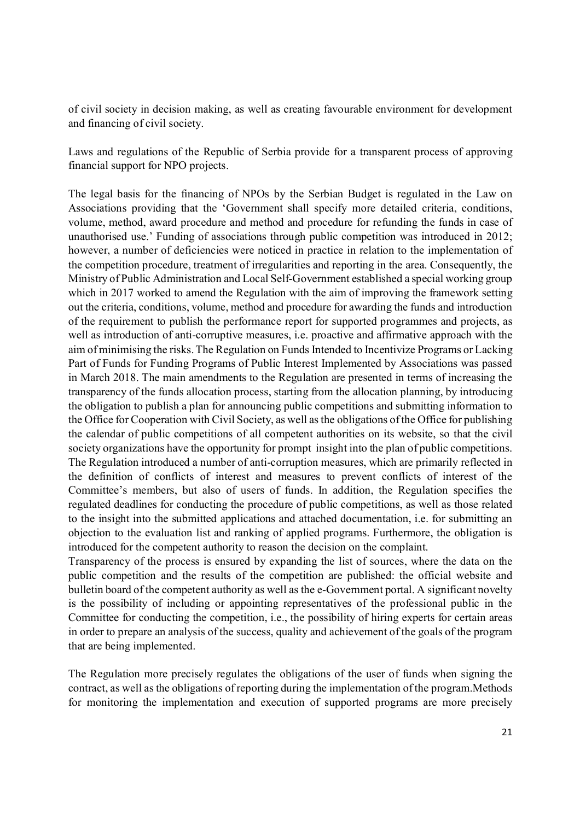of civil society in decision making, as well as creating favourable environment for development and financing of civil society.

Laws and regulations of the Republic of Serbia provide for a transparent process of approving financial support for NPO projects.

The legal basis for the financing of NPOs by the Serbian Budget is regulated in the Law on Associations providing that the 'Government shall specify more detailed criteria, conditions, volume, method, award procedure and method and procedure for refunding the funds in case of unauthorised use.' Funding of associations through public competition was introduced in 2012; however, a number of deficiencies were noticed in practice in relation to the implementation of the competition procedure, treatment of irregularities and reporting in the area. Consequently, the Ministry of Public Administration and Local Self-Government established a special working group which in 2017 worked to amend the Regulation with the aim of improving the framework setting out the criteria, conditions, volume, method and procedure for awarding the funds and introduction of the requirement to publish the performance report for supported programmes and projects, as well as introduction of anti-corruptive measures, i.e. proactive and affirmative approach with the aim of minimising the risks.The Regulation on Funds Intended to Incentivize Programs or Lacking Part of Funds for Funding Programs of Public Interest Implemented by Associations was passed in March 2018. The main amendments to the Regulation are presented in terms of increasing the transparency of the funds allocation process, starting from the allocation planning, by introducing the obligation to publish a plan for announcing public competitions and submitting information to the Office for Cooperation with Civil Society, as well as the obligations of the Office for publishing the calendar of public competitions of all competent authorities on its website, so that the civil society organizations have the opportunity for prompt insight into the plan of public competitions. The Regulation introduced a number of anti-corruption measures, which are primarily reflected in the definition of conflicts of interest and measures to prevent conflicts of interest of the Committee's members, but also of users of funds. In addition, the Regulation specifies the regulated deadlines for conducting the procedure of public competitions, as well as those related to the insight into the submitted applications and attached documentation, i.e. for submitting an objection to the evaluation list and ranking of applied programs. Furthermore, the obligation is introduced for the competent authority to reason the decision on the complaint.

Transparency of the process is ensured by expanding the list of sources, where the data on the public competition and the results of the competition are published: the official website and bulletin board of the competent authority as well as the e-Government portal. A significant novelty is the possibility of including or appointing representatives of the professional public in the Committee for conducting the competition, i.e., the possibility of hiring experts for certain areas in order to prepare an analysis of the success, quality and achievement of the goals of the program that are being implemented.

The Regulation more precisely regulates the obligations of the user of funds when signing the contract, as well as the obligations of reporting during the implementation of the program.Methods for monitoring the implementation and execution of supported programs are more precisely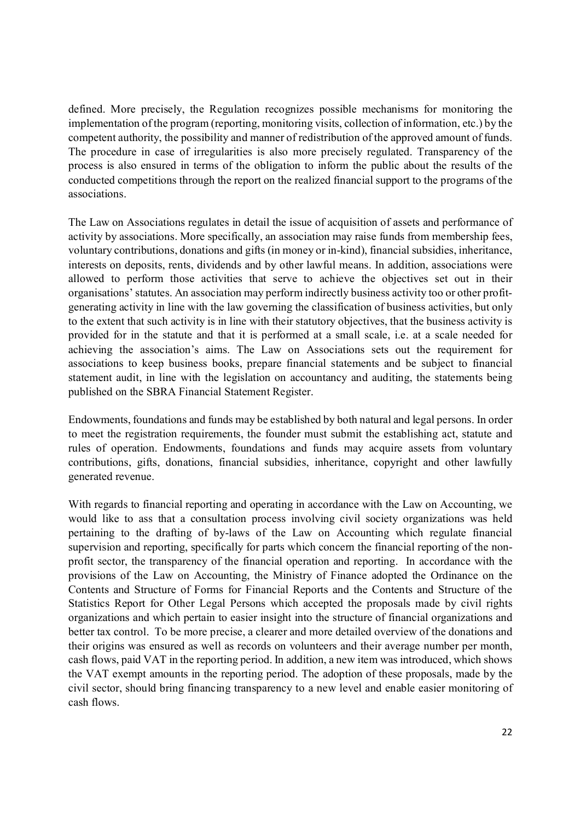defined. More precisely, the Regulation recognizes possible mechanisms for monitoring the implementation of the program (reporting, monitoring visits, collection of information, etc.) by the competent authority, the possibility and manner of redistribution of the approved amount of funds. The procedure in case of irregularities is also more precisely regulated. Transparency of the process is also ensured in terms of the obligation to inform the public about the results of the conducted competitions through the report on the realized financial support to the programs of the associations.

The Law on Associations regulates in detail the issue of acquisition of assets and performance of activity by associations. More specifically, an association may raise funds from membership fees, voluntary contributions, donations and gifts (in money or in-kind), financial subsidies, inheritance, interests on deposits, rents, dividends and by other lawful means. In addition, associations were allowed to perform those activities that serve to achieve the objectives set out in their organisations' statutes. An association may perform indirectly business activity too or other profitgenerating activity in line with the law governing the classification of business activities, but only to the extent that such activity is in line with their statutory objectives, that the business activity is provided for in the statute and that it is performed at a small scale, i.e. at a scale needed for achieving the association's aims. The Law on Associations sets out the requirement for associations to keep business books, prepare financial statements and be subject to financial statement audit, in line with the legislation on accountancy and auditing, the statements being published on the SBRA Financial Statement Register.

Endowments, foundations and funds may be established by both natural and legal persons. In order to meet the registration requirements, the founder must submit the establishing act, statute and rules of operation. Endowments, foundations and funds may acquire assets from voluntary contributions, gifts, donations, financial subsidies, inheritance, copyright and other lawfully generated revenue.

With regards to financial reporting and operating in accordance with the Law on Accounting, we would like to ass that a consultation process involving civil society organizations was held pertaining to the drafting of by-laws of the Law on Accounting which regulate financial supervision and reporting, specifically for parts which concern the financial reporting of the nonprofit sector, the transparency of the financial operation and reporting. In accordance with the provisions of the Law on Accounting, the Ministry of Finance adopted the Ordinance on the Contents and Structure of Forms for Financial Reports and the Contents and Structure of the Statistics Report for Other Legal Persons which accepted the proposals made by civil rights organizations and which pertain to easier insight into the structure of financial organizations and better tax control. To be more precise, a clearer and more detailed overview of the donations and their origins was ensured as well as records on volunteers and their average number per month, cash flows, paid VAT in the reporting period. In addition, a new item was introduced, which shows the VAT exempt amounts in the reporting period. The adoption of these proposals, made by the civil sector, should bring financing transparency to a new level and enable easier monitoring of cash flows.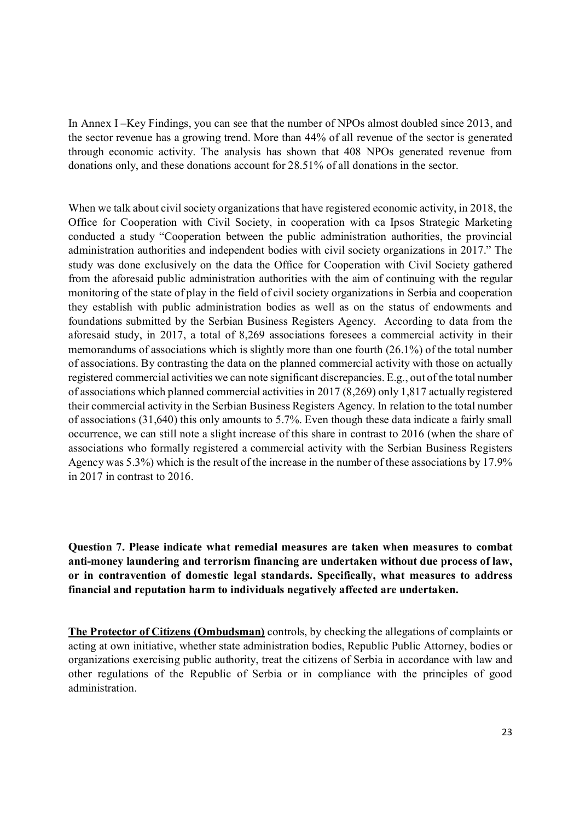In Annex I –Key Findings, you can see that the number of NPOs almost doubled since 2013, and the sector revenue has a growing trend. More than 44% of all revenue of the sector is generated through economic activity. The analysis has shown that 408 NPOs generated revenue from donations only, and these donations account for 28.51% of all donations in the sector.

When we talk about civil society organizations that have registered economic activity, in 2018, the Office for Cooperation with Civil Society, in cooperation with са Ipsos Strategic Marketing conducted a study "Cooperation between the public administration authorities, the provincial administration authorities and independent bodies with civil society organizations in 2017." The study was done exclusively on the data the Office for Cooperation with Civil Society gathered from the aforesaid public administration authorities with the aim of continuing with the regular monitoring of the state of play in the field of civil society organizations in Serbia and cooperation they establish with public administration bodies as well as on the status of endowments and foundations submitted by the Serbian Business Registers Agency. According to data from the aforesaid study, in 2017, a total of 8,269 associations foresees a commercial activity in their memorandums of associations which is slightly more than one fourth (26.1%) of the total number of associations. By contrasting the data on the planned commercial activity with those on actually registered commercial activities we can note significant discrepancies. E.g., out of the total number of associations which planned commercial activities in 2017 (8,269) only 1,817 actually registered their commercial activity in the Serbian Business Registers Agency. In relation to the total number of associations (31,640) this only amounts to 5.7%. Even though these data indicate a fairly small occurrence, we can still note a slight increase of this share in contrast to 2016 (when the share of associations who formally registered a commercial activity with the Serbian Business Registers Agency was 5.3%) which is the result of the increase in the number of these associations by 17.9% in 2017 in contrast to 2016.

**Question 7. Please indicate what remedial measures are taken when measures to combat anti-money laundering and terrorism financing are undertaken without due process of law, or in contravention of domestic legal standards. Specifically, what measures to address financial and reputation harm to individuals negatively affected are undertaken.** 

**The Protector of Citizens (Ombudsman)** controls, by checking the allegations of complaints or acting at own initiative, whether state administration bodies, Republic Public Attorney, bodies or organizations exercising public authority, treat the citizens of Serbia in accordance with law and other regulations of the Republic of Serbia or in compliance with the principles of good administration.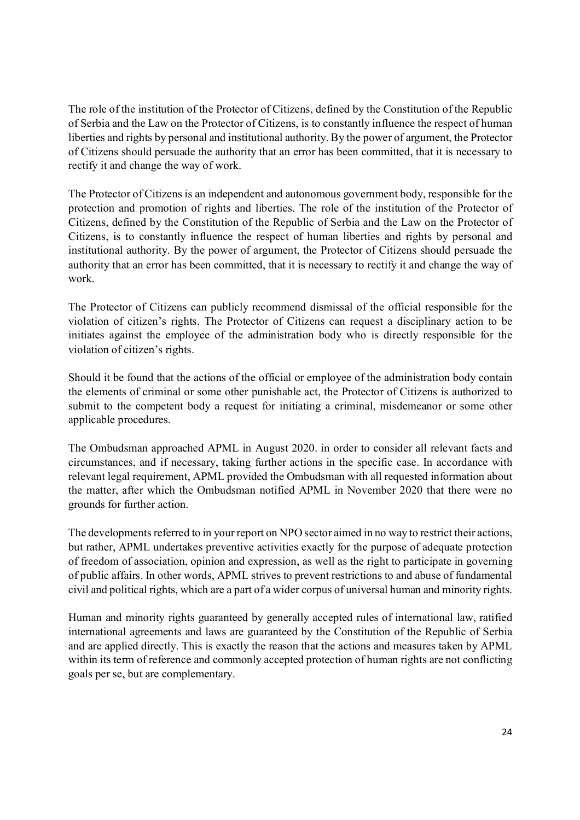The role of the institution of the Protector of Citizens, defined by the Constitution of the Republic of Serbia and the Law on the Protector of Citizens, is to constantly influence the respect of human liberties and rights by personal and institutional authority. By the power of argument, the Protector of Citizens should persuade the authority that an error has been committed, that it is necessary to rectify it and change the way of work.

The Protector of Citizens is an independent and autonomous government body, responsible for the protection and promotion of rights and liberties. The role of the institution of the Protector of Citizens, defined by the Constitution of the Republic of Serbia and the Law on the Protector of Citizens, is to constantly influence the respect of human liberties and rights by personal and institutional authority. By the power of argument, the Protector of Citizens should persuade the authority that an error has been committed, that it is necessary to rectify it and change the way of work.

The Protector of Citizens can publicly recommend dismissal of the official responsible for the violation of citizen's rights. The Protector of Citizens can request a disciplinary action to be initiates against the employee of the administration body who is directly responsible for the violation of citizen's rights.

Should it be found that the actions of the official or employee of the administration body contain the elements of criminal or some other punishable act, the Protector of Citizens is authorized to submit to the competent body a request for initiating a criminal, misdemeanor or some other applicable procedures.

The Ombudsman approached APML in August 2020. in order to consider all relevant facts and circumstances, and if necessary, taking further actions in the specific case. In accordance with relevant legal requirement, APML provided the Ombudsman with all requested information about the matter, after which the Ombudsman notified APML in November 2020 that there were no grounds for further action.

The developments referred to in your report on NPO sector aimed in no way to restrict their actions, but rather, APML undertakes preventive activities exactly for the purpose of adequate protection of freedom of association, opinion and expression, as well as the right to participate in governing of public affairs. In other words, APML strives to prevent restrictions to and abuse of fundamental civil and political rights, which are a part of a wider corpus of universal human and minority rights.

Human and minority rights guaranteed by generally accepted rules of international law, ratified international agreements and laws are guaranteed by the Constitution of the Republic of Serbia and are applied directly. This is exactly the reason that the actions and measures taken by APML within its term of reference and commonly accepted protection of human rights are not conflicting goals per se, but are complementary.